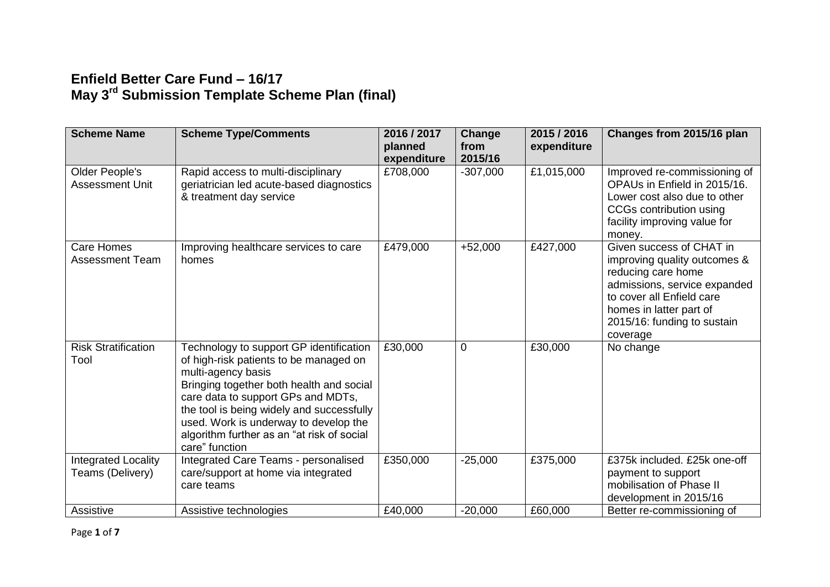## **Enfield Better Care Fund – 16/17 May 3rd Submission Template Scheme Plan (final)**

| <b>Scheme Name</b>                          | <b>Scheme Type/Comments</b>                                                                                                                                                                                                                                                                                                                     | 2016 / 2017<br>planned<br>expenditure | Change<br>from<br>2015/16 | 2015 / 2016<br>expenditure | Changes from 2015/16 plan                                                                                                                                                                                         |
|---------------------------------------------|-------------------------------------------------------------------------------------------------------------------------------------------------------------------------------------------------------------------------------------------------------------------------------------------------------------------------------------------------|---------------------------------------|---------------------------|----------------------------|-------------------------------------------------------------------------------------------------------------------------------------------------------------------------------------------------------------------|
| Older People's<br><b>Assessment Unit</b>    | Rapid access to multi-disciplinary<br>geriatrician led acute-based diagnostics<br>& treatment day service                                                                                                                                                                                                                                       | £708,000                              | $-307,000$                | £1,015,000                 | Improved re-commissioning of<br>OPAUs in Enfield in 2015/16.<br>Lower cost also due to other<br>CCGs contribution using<br>facility improving value for<br>money.                                                 |
| <b>Care Homes</b><br><b>Assessment Team</b> | Improving healthcare services to care<br>homes                                                                                                                                                                                                                                                                                                  | £479,000                              | $+52,000$                 | £427,000                   | Given success of CHAT in<br>improving quality outcomes &<br>reducing care home<br>admissions, service expanded<br>to cover all Enfield care<br>homes in latter part of<br>2015/16: funding to sustain<br>coverage |
| <b>Risk Stratification</b><br>Tool          | Technology to support GP identification<br>of high-risk patients to be managed on<br>multi-agency basis<br>Bringing together both health and social<br>care data to support GPs and MDTs,<br>the tool is being widely and successfully<br>used. Work is underway to develop the<br>algorithm further as an "at risk of social<br>care" function | £30,000                               | $\overline{0}$            | £30,000                    | No change                                                                                                                                                                                                         |
| Integrated Locality<br>Teams (Delivery)     | Integrated Care Teams - personalised<br>care/support at home via integrated<br>care teams                                                                                                                                                                                                                                                       | £350,000                              | $-25,000$                 | £375,000                   | £375k included. £25k one-off<br>payment to support<br>mobilisation of Phase II<br>development in 2015/16                                                                                                          |
| Assistive                                   | Assistive technologies                                                                                                                                                                                                                                                                                                                          | £40,000                               | $-20,000$                 | £60,000                    | Better re-commissioning of                                                                                                                                                                                        |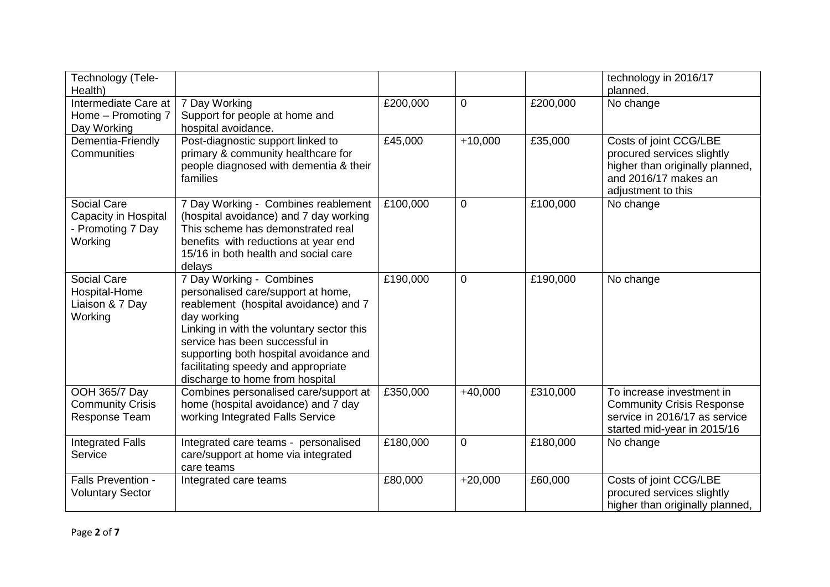| Technology (Tele-<br>Health)                                        |                                                                                                                                                                                                                                                                                                                           |          |             |          | technology in 2016/17<br>planned.                                                                                                     |
|---------------------------------------------------------------------|---------------------------------------------------------------------------------------------------------------------------------------------------------------------------------------------------------------------------------------------------------------------------------------------------------------------------|----------|-------------|----------|---------------------------------------------------------------------------------------------------------------------------------------|
| Intermediate Care at<br>Home - Promoting 7<br>Day Working           | 7 Day Working<br>Support for people at home and<br>hospital avoidance.                                                                                                                                                                                                                                                    | £200,000 | 0           | £200,000 | No change                                                                                                                             |
| Dementia-Friendly<br>Communities                                    | Post-diagnostic support linked to<br>primary & community healthcare for<br>people diagnosed with dementia & their<br>families                                                                                                                                                                                             | £45,000  | $+10,000$   | £35,000  | Costs of joint CCG/LBE<br>procured services slightly<br>higher than originally planned,<br>and 2016/17 makes an<br>adjustment to this |
| Social Care<br>Capacity in Hospital<br>- Promoting 7 Day<br>Working | 7 Day Working - Combines reablement<br>(hospital avoidance) and 7 day working<br>This scheme has demonstrated real<br>benefits with reductions at year end<br>15/16 in both health and social care<br>delays                                                                                                              | £100,000 | 0           | £100,000 | No change                                                                                                                             |
| Social Care<br>Hospital-Home<br>Liaison & 7 Day<br>Working          | 7 Day Working - Combines<br>personalised care/support at home,<br>reablement (hospital avoidance) and 7<br>day working<br>Linking in with the voluntary sector this<br>service has been successful in<br>supporting both hospital avoidance and<br>facilitating speedy and appropriate<br>discharge to home from hospital | £190,000 | 0           | £190,000 | No change                                                                                                                             |
| OOH 365/7 Day<br><b>Community Crisis</b><br>Response Team           | Combines personalised care/support at<br>home (hospital avoidance) and 7 day<br>working Integrated Falls Service                                                                                                                                                                                                          | £350,000 | $+40,000$   | £310,000 | To increase investment in<br><b>Community Crisis Response</b><br>service in 2016/17 as service<br>started mid-year in 2015/16         |
| Integrated Falls<br>Service                                         | Integrated care teams - personalised<br>care/support at home via integrated<br>care teams                                                                                                                                                                                                                                 | £180,000 | $\mathbf 0$ | £180,000 | No change                                                                                                                             |
| Falls Prevention -<br><b>Voluntary Sector</b>                       | Integrated care teams                                                                                                                                                                                                                                                                                                     | £80,000  | $+20,000$   | £60,000  | Costs of joint CCG/LBE<br>procured services slightly<br>higher than originally planned,                                               |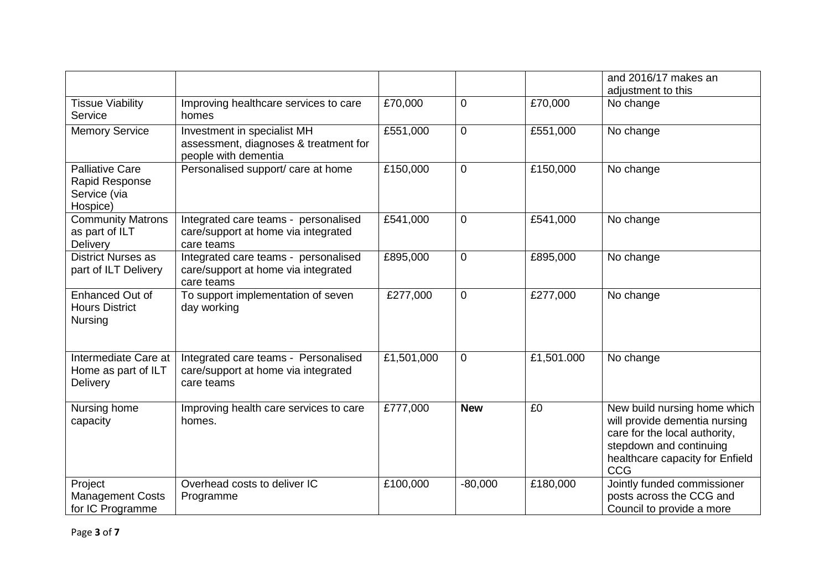|                                                                      |                                                                                              |            |                |            | and 2016/17 makes an<br>adjustment to this                                                                                                                          |
|----------------------------------------------------------------------|----------------------------------------------------------------------------------------------|------------|----------------|------------|---------------------------------------------------------------------------------------------------------------------------------------------------------------------|
| <b>Tissue Viability</b><br>Service                                   | Improving healthcare services to care<br>homes                                               | £70,000    | 0              | £70,000    | No change                                                                                                                                                           |
| <b>Memory Service</b>                                                | Investment in specialist MH<br>assessment, diagnoses & treatment for<br>people with dementia | £551,000   | 0              | £551,000   | No change                                                                                                                                                           |
| <b>Palliative Care</b><br>Rapid Response<br>Service (via<br>Hospice) | Personalised support/ care at home                                                           | £150,000   | 0              | £150,000   | No change                                                                                                                                                           |
| <b>Community Matrons</b><br>as part of ILT<br>Delivery               | Integrated care teams - personalised<br>care/support at home via integrated<br>care teams    | £541,000   | $\overline{0}$ | £541,000   | No change                                                                                                                                                           |
| <b>District Nurses as</b><br>part of ILT Delivery                    | Integrated care teams - personalised<br>care/support at home via integrated<br>care teams    | £895,000   | 0              | £895,000   | No change                                                                                                                                                           |
| Enhanced Out of<br><b>Hours District</b><br>Nursing                  | To support implementation of seven<br>day working                                            | £277,000   | 0              | £277,000   | No change                                                                                                                                                           |
| Intermediate Care at<br>Home as part of ILT<br>Delivery              | Integrated care teams - Personalised<br>care/support at home via integrated<br>care teams    | £1,501,000 | 0              | £1,501.000 | No change                                                                                                                                                           |
| Nursing home<br>capacity                                             | Improving health care services to care<br>homes.                                             | £777,000   | <b>New</b>     | £0         | New build nursing home which<br>will provide dementia nursing<br>care for the local authority,<br>stepdown and continuing<br>healthcare capacity for Enfield<br>CCG |
| Project<br><b>Management Costs</b><br>for IC Programme               | Overhead costs to deliver IC<br>Programme                                                    | £100,000   | $-80,000$      | £180,000   | Jointly funded commissioner<br>posts across the CCG and<br>Council to provide a more                                                                                |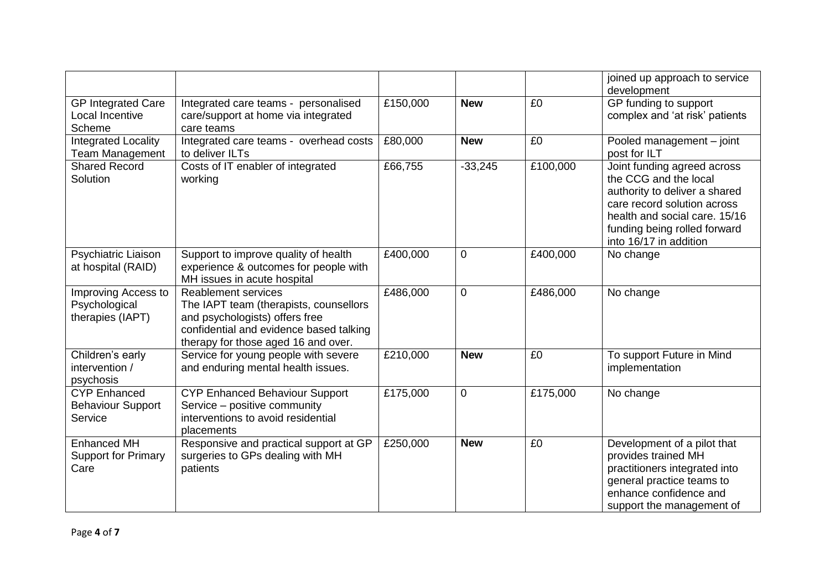|                                                            |                                                                                                                                                                                          |          |             |          | joined up approach to service<br>development                                                                                                                                                                    |
|------------------------------------------------------------|------------------------------------------------------------------------------------------------------------------------------------------------------------------------------------------|----------|-------------|----------|-----------------------------------------------------------------------------------------------------------------------------------------------------------------------------------------------------------------|
| <b>GP Integrated Care</b><br>Local Incentive<br>Scheme     | Integrated care teams - personalised<br>care/support at home via integrated<br>care teams                                                                                                | £150,000 | <b>New</b>  | £0       | GP funding to support<br>complex and 'at risk' patients                                                                                                                                                         |
| <b>Integrated Locality</b><br><b>Team Management</b>       | Integrated care teams - overhead costs<br>to deliver ILTs                                                                                                                                | £80,000  | <b>New</b>  | £0       | Pooled management - joint<br>post for ILT                                                                                                                                                                       |
| <b>Shared Record</b><br>Solution                           | Costs of IT enabler of integrated<br>working                                                                                                                                             | £66,755  | $-33,245$   | £100,000 | Joint funding agreed across<br>the CCG and the local<br>authority to deliver a shared<br>care record solution across<br>health and social care. 15/16<br>funding being rolled forward<br>into 16/17 in addition |
| Psychiatric Liaison<br>at hospital (RAID)                  | Support to improve quality of health<br>experience & outcomes for people with<br>MH issues in acute hospital                                                                             | £400,000 | $\mathbf 0$ | £400,000 | No change                                                                                                                                                                                                       |
| Improving Access to<br>Psychological<br>therapies (IAPT)   | <b>Reablement services</b><br>The IAPT team (therapists, counsellors<br>and psychologists) offers free<br>confidential and evidence based talking<br>therapy for those aged 16 and over. | £486,000 | $\mathbf 0$ | £486,000 | No change                                                                                                                                                                                                       |
| Children's early<br>intervention /<br>psychosis            | Service for young people with severe<br>and enduring mental health issues.                                                                                                               | £210,000 | <b>New</b>  | £0       | To support Future in Mind<br>implementation                                                                                                                                                                     |
| <b>CYP Enhanced</b><br><b>Behaviour Support</b><br>Service | <b>CYP Enhanced Behaviour Support</b><br>Service - positive community<br>interventions to avoid residential<br>placements                                                                | £175,000 | $\mathbf 0$ | £175,000 | No change                                                                                                                                                                                                       |
| <b>Enhanced MH</b><br><b>Support for Primary</b><br>Care   | Responsive and practical support at GP<br>surgeries to GPs dealing with MH<br>patients                                                                                                   | £250,000 | <b>New</b>  | £0       | Development of a pilot that<br>provides trained MH<br>practitioners integrated into<br>general practice teams to<br>enhance confidence and<br>support the management of                                         |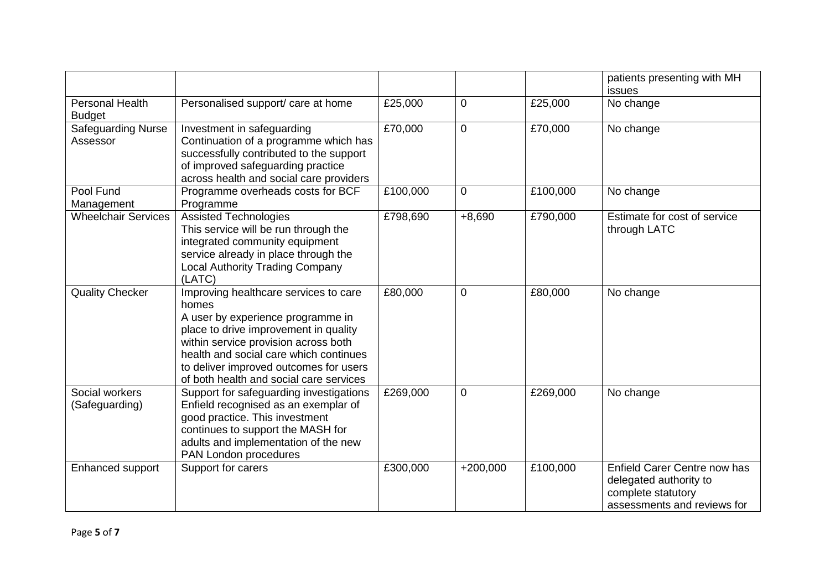|                                       |                                                                                                                                                                                                                                                                                                     |          |                |          | patients presenting with MH<br>issues                                                                       |
|---------------------------------------|-----------------------------------------------------------------------------------------------------------------------------------------------------------------------------------------------------------------------------------------------------------------------------------------------------|----------|----------------|----------|-------------------------------------------------------------------------------------------------------------|
| Personal Health<br><b>Budget</b>      | Personalised support/ care at home                                                                                                                                                                                                                                                                  | £25,000  | 0              | £25,000  | No change                                                                                                   |
| <b>Safeguarding Nurse</b><br>Assessor | Investment in safeguarding<br>Continuation of a programme which has<br>successfully contributed to the support<br>of improved safeguarding practice<br>across health and social care providers                                                                                                      | £70,000  | $\mathbf 0$    | £70,000  | No change                                                                                                   |
| Pool Fund<br>Management               | Programme overheads costs for BCF<br>Programme                                                                                                                                                                                                                                                      | £100,000 | $\mathbf 0$    | £100,000 | No change                                                                                                   |
| <b>Wheelchair Services</b>            | Assisted Technologies<br>This service will be run through the<br>integrated community equipment<br>service already in place through the<br><b>Local Authority Trading Company</b><br>(LATC)                                                                                                         | £798,690 | $+8,690$       | £790,000 | Estimate for cost of service<br>through LATC                                                                |
| <b>Quality Checker</b>                | Improving healthcare services to care<br>homes<br>A user by experience programme in<br>place to drive improvement in quality<br>within service provision across both<br>health and social care which continues<br>to deliver improved outcomes for users<br>of both health and social care services | £80,000  | 0              | £80,000  | No change                                                                                                   |
| Social workers<br>(Safeguarding)      | Support for safeguarding investigations<br>Enfield recognised as an exemplar of<br>good practice. This investment<br>continues to support the MASH for<br>adults and implementation of the new<br>PAN London procedures                                                                             | £269,000 | $\overline{0}$ | £269,000 | No change                                                                                                   |
| Enhanced support                      | Support for carers                                                                                                                                                                                                                                                                                  | £300,000 | $+200,000$     | £100,000 | Enfield Carer Centre now has<br>delegated authority to<br>complete statutory<br>assessments and reviews for |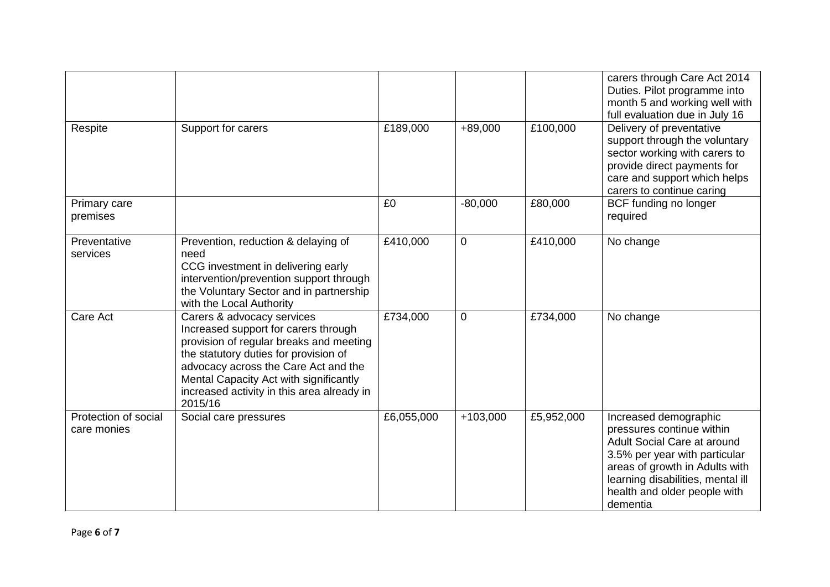| Respite                             | Support for carers                                                                                                                                                                                                                                                                                | £189,000   | +89,000     | £100,000   | carers through Care Act 2014<br>Duties. Pilot programme into<br>month 5 and working well with<br>full evaluation due in July 16<br>Delivery of preventative<br>support through the voluntary<br>sector working with carers to         |
|-------------------------------------|---------------------------------------------------------------------------------------------------------------------------------------------------------------------------------------------------------------------------------------------------------------------------------------------------|------------|-------------|------------|---------------------------------------------------------------------------------------------------------------------------------------------------------------------------------------------------------------------------------------|
|                                     |                                                                                                                                                                                                                                                                                                   |            |             |            | provide direct payments for<br>care and support which helps<br>carers to continue caring                                                                                                                                              |
| Primary care<br>premises            |                                                                                                                                                                                                                                                                                                   | £0         | $-80,000$   | £80,000    | BCF funding no longer<br>required                                                                                                                                                                                                     |
| Preventative<br>services            | Prevention, reduction & delaying of<br>need<br>CCG investment in delivering early<br>intervention/prevention support through<br>the Voluntary Sector and in partnership<br>with the Local Authority                                                                                               | £410,000   | 0           | £410,000   | No change                                                                                                                                                                                                                             |
| Care Act                            | Carers & advocacy services<br>Increased support for carers through<br>provision of regular breaks and meeting<br>the statutory duties for provision of<br>advocacy across the Care Act and the<br>Mental Capacity Act with significantly<br>increased activity in this area already in<br>2015/16 | £734,000   | $\mathbf 0$ | £734,000   | No change                                                                                                                                                                                                                             |
| Protection of social<br>care monies | Social care pressures                                                                                                                                                                                                                                                                             | £6,055,000 | $+103,000$  | £5,952,000 | Increased demographic<br>pressures continue within<br>Adult Social Care at around<br>3.5% per year with particular<br>areas of growth in Adults with<br>learning disabilities, mental ill<br>health and older people with<br>dementia |